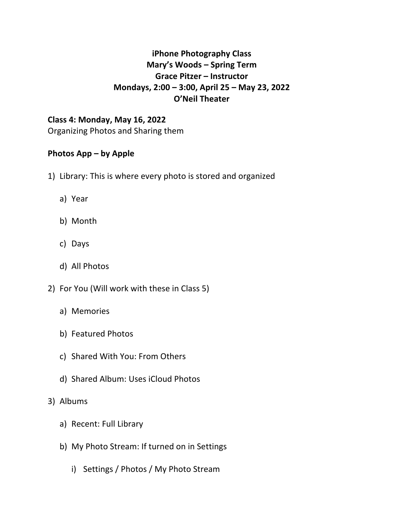## **iPhone Photography Class Mary's Woods – Spring Term Grace Pitzer – Instructor Mondays, 2:00 – 3:00, April 25 – May 23, 2022 O'Neil Theater**

# **Class 4: Monday, May 16, 2022**

Organizing Photos and Sharing them

## **Photos App – by Apple**

- 1) Library: This is where every photo is stored and organized
	- a) Year
	- b) Month
	- c) Days
	- d) All Photos
- 2) For You (Will work with these in Class 5)
	- a) Memories
	- b) Featured Photos
	- c) Shared With You: From Others
	- d) Shared Album: Uses iCloud Photos
- 3) Albums
	- a) Recent: Full Library
	- b) My Photo Stream: If turned on in Settings
		- i) Settings / Photos / My Photo Stream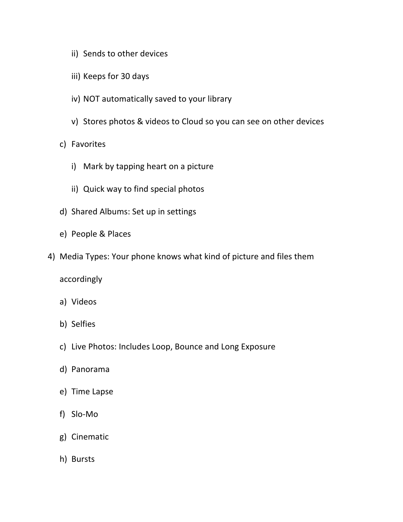- ii) Sends to other devices
- iii) Keeps for 30 days
- iv) NOT automatically saved to your library
- v) Stores photos & videos to Cloud so you can see on other devices
- c) Favorites
	- i) Mark by tapping heart on a picture
	- ii) Quick way to find special photos
- d) Shared Albums: Set up in settings
- e) People & Places
- 4) Media Types: Your phone knows what kind of picture and files them

accordingly

- a) Videos
- b) Selfies
- c) Live Photos: Includes Loop, Bounce and Long Exposure
- d) Panorama
- e) Time Lapse
- f) Slo-Mo
- g) Cinematic
- h) Bursts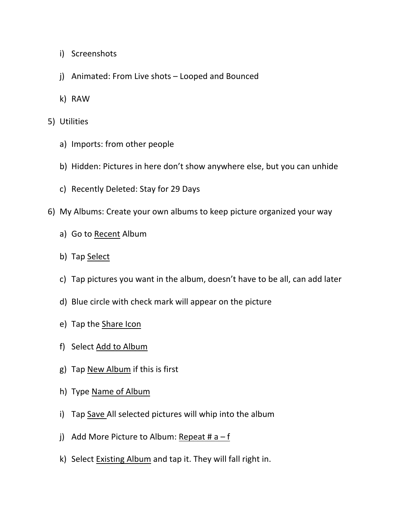- i) Screenshots
- j) Animated: From Live shots Looped and Bounced
- k) RAW
- 5) Utilities
	- a) Imports: from other people
	- b) Hidden: Pictures in here don't show anywhere else, but you can unhide
	- c) Recently Deleted: Stay for 29 Days
- 6) My Albums: Create your own albums to keep picture organized your way
	- a) Go to Recent Album
	- b) Tap Select
	- c) Tap pictures you want in the album, doesn't have to be all, can add later
	- d) Blue circle with check mark will appear on the picture
	- e) Tap the Share Icon
	- f) Select Add to Album
	- g) Tap New Album if this is first
	- h) Type Name of Album
	- i) Tap Save All selected pictures will whip into the album
	- j) Add More Picture to Album: Repeat #  $a f$
	- k) Select Existing Album and tap it. They will fall right in.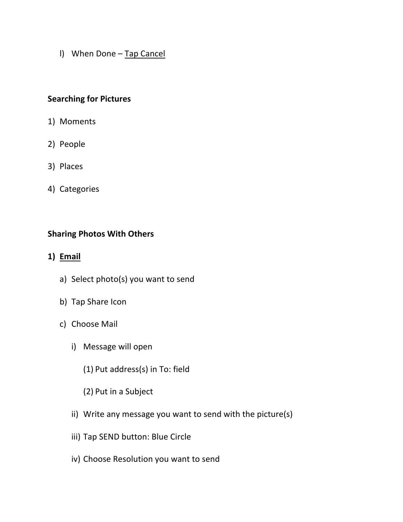l) When Done – Tap Cancel

### **Searching for Pictures**

- 1) Moments
- 2) People
- 3) Places
- 4) Categories

#### **Sharing Photos With Others**

- **1) Email**
	- a) Select photo(s) you want to send
	- b) Tap Share Icon
	- c) Choose Mail
		- i) Message will open
			- (1) Put address(s) in To: field
			- (2) Put in a Subject
		- ii) Write any message you want to send with the picture(s)
		- iii) Tap SEND button: Blue Circle
		- iv) Choose Resolution you want to send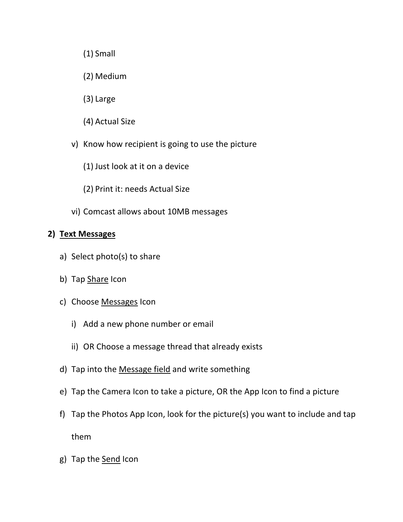- (1) Small
- (2) Medium
- (3) Large
- (4) Actual Size
- v) Know how recipient is going to use the picture
	- (1) Just look at it on a device
	- (2) Print it: needs Actual Size
- vi) Comcast allows about 10MB messages

#### **2) Text Messages**

- a) Select photo(s) to share
- b) Tap Share Icon
- c) Choose Messages Icon
	- i) Add a new phone number or email
	- ii) OR Choose a message thread that already exists
- d) Tap into the Message field and write something
- e) Tap the Camera Icon to take a picture, OR the App Icon to find a picture
- f) Tap the Photos App Icon, look for the picture(s) you want to include and tap them
- g) Tap the Send Icon